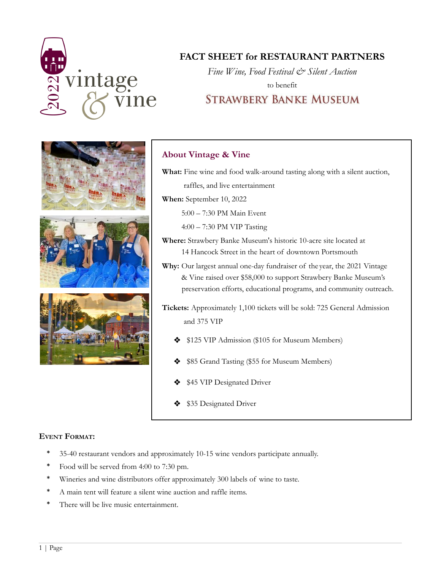

# **FACT SHEET for RESTAURANT PARTNERS**

*Fine Wine, Food Festival & Silent Auction* to benefit **STRAWBERY BANKE MUSEUM** 



## **About Vintage & Vine**

**What:** Fine wine and food walk-around tasting along with a silent auction, raffles, and live entertainment **When:** September 10, 2022 5:00 – 7:30 PM Main Event 4:00 – 7:30 PM VIP Tasting **Where:** Strawbery Banke Museum's historic 10-acre site located at

14 Hancock Street in the heart of downtown Portsmouth

**Why:** Our largest annual one-day fundraiser of the year, the 2021 Vintage & Vine raised over \$58,000 to support Strawbery Banke Museum's preservation efforts, educational programs, and community outreach.

**Tickets:** Approximately 1,100 tickets will be sold: 725 General Admission and 375 VIP

- ❖ \$125 VIP Admission (\$105 for Museum Members)
- ❖ \$85 Grand Tasting (\$55 for Museum Members)
- ❖ \$45 VIP Designated Driver
- ❖ \$35 Designated Driver

#### **EVENT FORMAT:**

- \* 35-40 restaurant vendors and approximately 10-15 wine vendors participate annually.
- Food will be served from 4:00 to 7:30 pm.
- Wineries and wine distributors offer approximately 300 labels of wine to taste.
- A main tent will feature a silent wine auction and raffle items.
- There will be live music entertainment.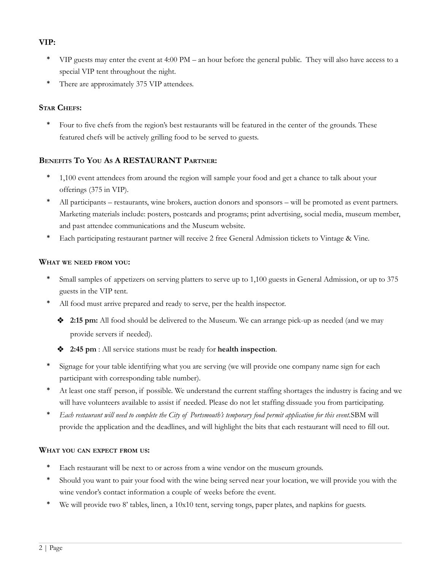#### **VIP:**

- \* VIP guests may enter the event at 4:00 PM an hour before the general public. They will also have access to a special VIP tent throughout the night.
- \* There are approximately 375 VIP attendees.

#### **STAR CHEFS:**

Four to five chefs from the region's best restaurants will be featured in the center of the grounds. These featured chefs will be actively grilling food to be served to guests.

### **BENEFITS T<sup>O</sup> YOU A<sup>S</sup> A RESTAURANT PARTNER:**

- 1,100 event attendees from around the region will sample your food and get a chance to talk about your offerings (375 in VIP).
- All participants restaurants, wine brokers, auction donors and sponsors will be promoted as event partners. Marketing materials include: posters, postcards and programs; print advertising, social media, museum member, and past attendee communications and the Museum website.
- Each participating restaurant partner will receive 2 free General Admission tickets to Vintage & Vine.

#### **WHAT WE NEED FROM YOU:**

- Small samples of appetizers on serving platters to serve up to 1,100 guests in General Admission, or up to 375 guests in the VIP tent.
- All food must arrive prepared and ready to serve, per the health inspector.
	- ❖ **2:15 pm:** All food should be delivered to the Museum. We can arrange pick-up as needed (and we may provide servers if needed).
	- ❖ **2:45 pm** : All service stations must be ready for **health inspection**.
- Signage for your table identifying what you are serving (we will provide one company name sign for each participant with corresponding table number).
- At least one staff person, if possible. We understand the current staffing shortages the industry is facing and we will have volunteers available to assist if needed. Please do not let staffing dissuade you from participating.
- Each restaurant will need to complete the City of Portsmouth's temporary food permit application for this event.SBM will provide the application and the deadlines, and will highlight the bits that each restaurant will need to fill out.

#### **WHAT YOU CAN EXPECT FROM US:**

- Each restaurant will be next to or across from a wine vendor on the museum grounds.
- Should you want to pair your food with the wine being served near your location, we will provide you with the wine vendor's contact information a couple of weeks before the event.
- We will provide two 8' tables, linen, a 10x10 tent, serving tongs, paper plates, and napkins for guests.